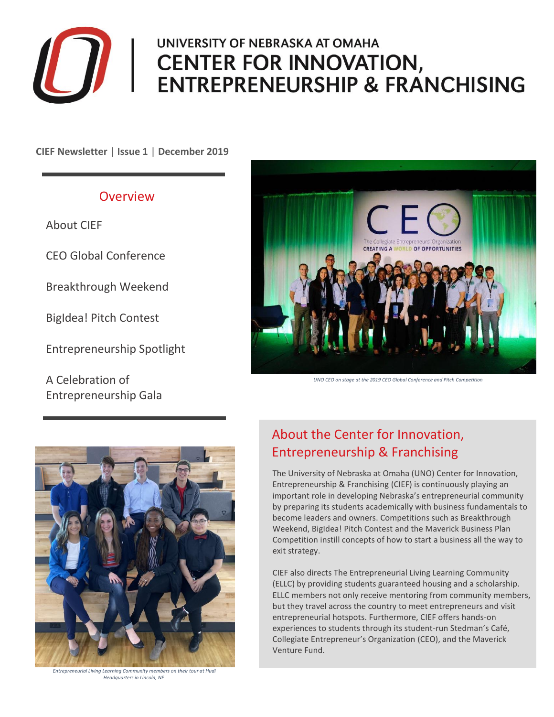

# UNIVERSITY OF NEBRASKA AT OMAHA CENTER FOR INNOVATION, **ENTREPRENEURSHIP & FRANCHISING**

**CIEF Newsletter** | **Issue 1** | **December 2019**

## Overview

About CIEF

CEO Global Conference

Breakthrough Weekend

BigIdea! Pitch Contest

Entrepreneurship Spotlight

A Celebration of Entrepreneurship Gala



*UNO CEO on stage at the 2019 CEO Global Conference and Pitch Competition*



*Entrepreneurial Living Learning Community members on their tour at Hudl Headquarters in Lincoln, NE*

## About the Center for Innovation, Entrepreneurship & Franchising

The University of Nebraska at Omaha (UNO) Center for Innovation, Entrepreneurship & Franchising (CIEF) is continuously playing an important role in developing Nebraska's entrepreneurial community by preparing its students academically with business fundamentals to become leaders and owners. Competitions such as Breakthrough Weekend, BigIdea! Pitch Contest and the Maverick Business Plan Competition instill concepts of how to start a business all the way to exit strategy.

CIEF also directs The Entrepreneurial Living Learning Community (ELLC) by providing students guaranteed housing and a scholarship. ELLC members not only receive mentoring from community members, but they travel across the country to meet entrepreneurs and visit entrepreneurial hotspots. Furthermore, CIEF offers hands-on experiences to students through its student-run Stedman's Café, Collegiate Entrepreneur's Organization (CEO), and the Maverick Venture Fund.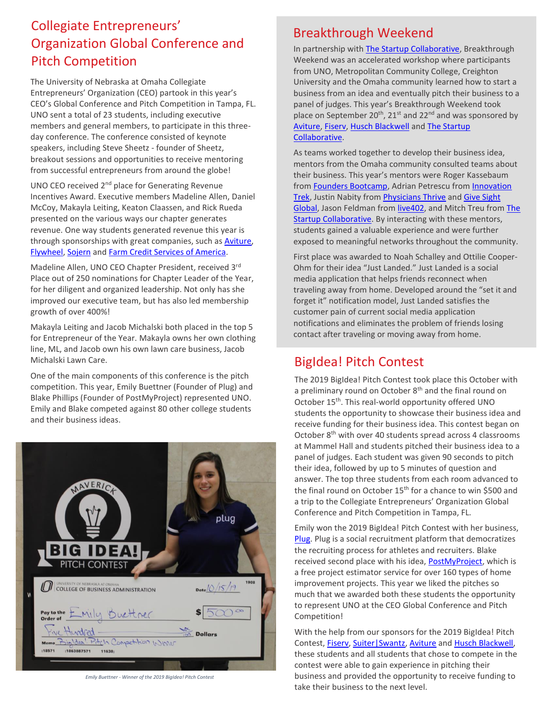## Breakthrough Weekend Collegiate Entrepreneurs' Organization Global Conference and Pitch Competition

The University of Nebraska at Omaha Collegiate Entrepreneurs' Organization (CEO) partook in this year's CEO's Global Conference and Pitch Competition in Tampa, FL. UNO sent a total of 23 students, including executive members and general members, to participate in this threeday conference. The conference consisted of keynote speakers, including Steve Sheetz - founder of Sheetz, breakout sessions and opportunities to receive mentoring from successful entrepreneurs from around the globe!

UNO CEO received 2nd place for Generating Revenue Incentives Award. Executive members Madeline Allen, Daniel McCoy, Makayla Leiting, Keaton Claassen, and Rick Rueda presented on the various ways our chapter generates revenue. One way students generated revenue this year is through sponsorships with great companies, such as [Aviture,](https://www.aviture.us.com/) [Flywheel,](https://getflywheel.com/) [Sojern](https://www.sojern.com/) an[d Farm Credit Services of America.](https://www.fcsamerica.com/?gclid=EAIaIQobChMIh7zb7eKc5gIVFP7jBx3G9gIZEAAYASAAEgKj5fD_BwE)

Madeline Allen, UNO CEO Chapter President, received 3rd Place out of 250 nominations for Chapter Leader of the Year, for her diligent and organized leadership. Not only has she improved our executive team, but has also led membership growth of over 400%!

Makayla Leiting and Jacob Michalski both placed in the top 5 for Entrepreneur of the Year. Makayla owns her own clothing line, ML, and Jacob own his own lawn care business, Jacob Michalski Lawn Care.

One of the main components of this conference is the pitch competition. This year, Emily Buettner (Founder of Plug) and Blake Phillips (Founder of PostMyProject) represented UNO. Emily and Blake competed against 80 other college students and their business ideas.



*Emily Buettner - Winner of the 2019 BigIdea! Pitch Contest*

In partnership wit[h The Startup Collaborative,](https://www.omahachamber.org/startupcollaborative/) Breakthrough Weekend was an accelerated workshop where participants from UNO, Metropolitan Community College, Creighton University and the Omaha community learned how to start a business from an idea and eventually pitch their business to a panel of judges. This year's Breakthrough Weekend took place on September 20<sup>th</sup>, 21<sup>st</sup> and 22<sup>nd</sup> and was sponsored by [Aviture,](https://www.aviture.us.com/) [Fiserv,](https://www.fiserv.com/) [Husch Blackwell](https://www.huschblackwell.com/) an[d The Startup](https://www.omahachamber.org/startupcollaborative/)  [Collaborative.](https://www.omahachamber.org/startupcollaborative/) 

As teams worked together to develop their business idea, mentors from the Omaha community consulted teams about their business. This year's mentors were Roger Kassebaum fro[m Founders Bootcamp,](https://www.foundersbootcamp.org/) Adrian Petrescu from [Innovation](http://innovationtrek.org/)  [Trek,](http://innovationtrek.org/) Justin Nabity fro[m Physicians Thrive](https://physiciansthrive.com/) an[d Give Sight](http://givesightglobal.org/)  [Global,](http://givesightglobal.org/) Jason Feldman fro[m live402,](https://www.siliconprairieproperty.com/) and Mitch Treu from [The](https://www.omahachamber.org/startupcollaborative/)  [Startup Collaborative.](https://www.omahachamber.org/startupcollaborative/) By interacting with these mentors, students gained a valuable experience and were further exposed to meaningful networks throughout the community.

First place was awarded to Noah Schalley and Ottilie Cooper-Ohm for their idea "Just Landed." Just Landed is a social media application that helps friends reconnect when traveling away from home. Developed around the "set it and forget it" notification model, Just Landed satisfies the customer pain of current social media application notifications and eliminates the problem of friends losing contact after traveling or moving away from home.

## BigIdea! Pitch Contest

The 2019 BigIdea! Pitch Contest took place this October with a preliminary round on October 8<sup>th</sup> and the final round on October 15<sup>th</sup>. This real-world opportunity offered UNO students the opportunity to showcase their business idea and receive funding for their business idea. This contest began on October 8<sup>th</sup> with over 40 students spread across 4 classrooms at Mammel Hall and students pitched their business idea to a panel of judges. Each student was given 90 seconds to pitch their idea, followed by up to 5 minutes of question and answer. The top three students from each room advanced to the final round on October 15<sup>th</sup> for a chance to win \$500 and a trip to the Collegiate Entrepreneurs' Organization Global Conference and Pitch Competition in Tampa, FL.

Emily won the 2019 BigIdea! Pitch Contest with her business, [Plug.](https://plugsports.io/) Plug is a social recruitment platform that democratizes the recruiting process for athletes and recruiters. Blake received second place with his idea[, PostMyProject,](https://postmyproject.com/) which is a free project estimator service for over 160 types of home improvement projects. This year we liked the pitches so much that we awarded both these students the opportunity to represent UNO at the CEO Global Conference and Pitch Competition!

With the help from our sponsors for the 2019 BigIdea! Pitch Contest[, Fiserv,](https://www.fiserv.com/) [Suiter|Swantz,](https://www.suiter.com/) [Aviture](https://www.aviture.us.com/) and [Husch Blackwell,](https://www.huschblackwell.com/) these students and all students that chose to compete in the contest were able to gain experience in pitching their business and provided the opportunity to receive funding to take their business to the next level.